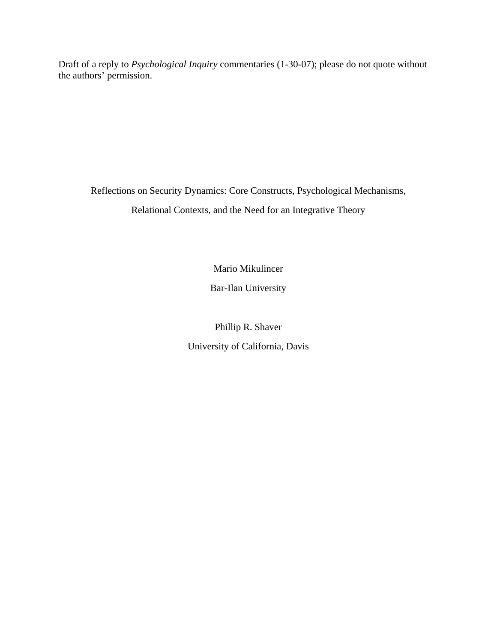Draft of a reply to *Psychological Inquiry* commentaries (1-30-07); please do not quote without the authors' permission.

Reflections on Security Dynamics: Core Constructs, Psychological Mechanisms,

Relational Contexts, and the Need for an Integrative Theory

Mario Mikulincer

Bar-Ilan University

Phillip R. Shaver University of California, Davis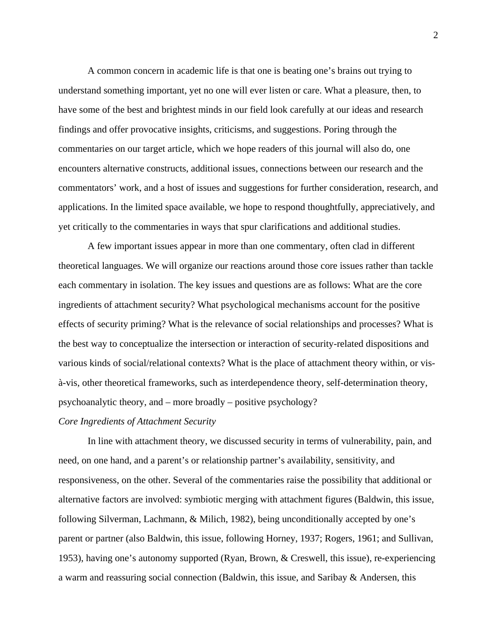A common concern in academic life is that one is beating one's brains out trying to understand something important, yet no one will ever listen or care. What a pleasure, then, to have some of the best and brightest minds in our field look carefully at our ideas and research findings and offer provocative insights, criticisms, and suggestions. Poring through the commentaries on our target article, which we hope readers of this journal will also do, one encounters alternative constructs, additional issues, connections between our research and the commentators' work, and a host of issues and suggestions for further consideration, research, and applications. In the limited space available, we hope to respond thoughtfully, appreciatively, and yet critically to the commentaries in ways that spur clarifications and additional studies.

A few important issues appear in more than one commentary, often clad in different theoretical languages. We will organize our reactions around those core issues rather than tackle each commentary in isolation. The key issues and questions are as follows: What are the core ingredients of attachment security? What psychological mechanisms account for the positive effects of security priming? What is the relevance of social relationships and processes? What is the best way to conceptualize the intersection or interaction of security-related dispositions and various kinds of social/relational contexts? What is the place of attachment theory within, or visà-vis, other theoretical frameworks, such as interdependence theory, self-determination theory, psychoanalytic theory, and – more broadly – positive psychology?

#### *Core Ingredients of Attachment Security*

In line with attachment theory, we discussed security in terms of vulnerability, pain, and need, on one hand, and a parent's or relationship partner's availability, sensitivity, and responsiveness, on the other. Several of the commentaries raise the possibility that additional or alternative factors are involved: symbiotic merging with attachment figures (Baldwin, this issue, following Silverman, Lachmann, & Milich, 1982), being unconditionally accepted by one's parent or partner (also Baldwin, this issue, following Horney, 1937; Rogers, 1961; and Sullivan, 1953), having one's autonomy supported (Ryan, Brown, & Creswell, this issue), re-experiencing a warm and reassuring social connection (Baldwin, this issue, and Saribay & Andersen, this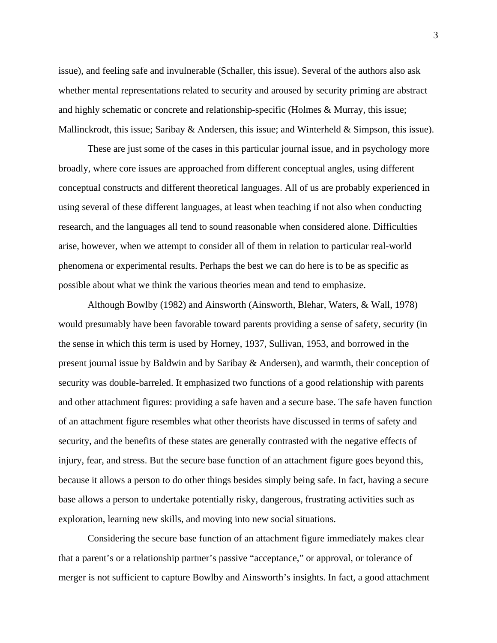issue), and feeling safe and invulnerable (Schaller, this issue). Several of the authors also ask whether mental representations related to security and aroused by security priming are abstract and highly schematic or concrete and relationship-specific (Holmes & Murray, this issue; Mallinckrodt, this issue; Saribay & Andersen, this issue; and Winterheld & Simpson, this issue).

These are just some of the cases in this particular journal issue, and in psychology more broadly, where core issues are approached from different conceptual angles, using different conceptual constructs and different theoretical languages. All of us are probably experienced in using several of these different languages, at least when teaching if not also when conducting research, and the languages all tend to sound reasonable when considered alone. Difficulties arise, however, when we attempt to consider all of them in relation to particular real-world phenomena or experimental results. Perhaps the best we can do here is to be as specific as possible about what we think the various theories mean and tend to emphasize.

Although Bowlby (1982) and Ainsworth (Ainsworth, Blehar, Waters, & Wall, 1978) would presumably have been favorable toward parents providing a sense of safety, security (in the sense in which this term is used by Horney, 1937, Sullivan, 1953, and borrowed in the present journal issue by Baldwin and by Saribay & Andersen), and warmth, their conception of security was double-barreled. It emphasized two functions of a good relationship with parents and other attachment figures: providing a safe haven and a secure base. The safe haven function of an attachment figure resembles what other theorists have discussed in terms of safety and security, and the benefits of these states are generally contrasted with the negative effects of injury, fear, and stress. But the secure base function of an attachment figure goes beyond this, because it allows a person to do other things besides simply being safe. In fact, having a secure base allows a person to undertake potentially risky, dangerous, frustrating activities such as exploration, learning new skills, and moving into new social situations.

Considering the secure base function of an attachment figure immediately makes clear that a parent's or a relationship partner's passive "acceptance," or approval, or tolerance of merger is not sufficient to capture Bowlby and Ainsworth's insights. In fact, a good attachment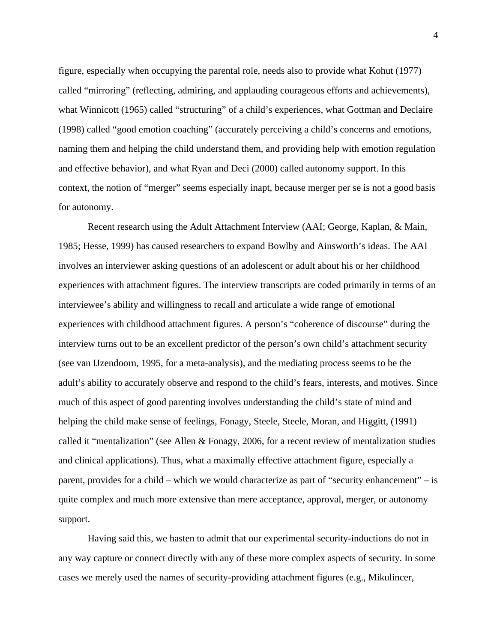figure, especially when occupying the parental role, needs also to provide what Kohut (1977) called "mirroring" (reflecting, admiring, and applauding courageous efforts and achievements), what Winnicott (1965) called "structuring" of a child's experiences, what Gottman and Declaire (1998) called "good emotion coaching" (accurately perceiving a child's concerns and emotions, naming them and helping the child understand them, and providing help with emotion regulation and effective behavior), and what Ryan and Deci (2000) called autonomy support. In this context, the notion of "merger" seems especially inapt, because merger per se is not a good basis for autonomy.

Recent research using the Adult Attachment Interview (AAI; George, Kaplan, & Main, 1985; Hesse, 1999) has caused researchers to expand Bowlby and Ainsworth's ideas. The AAI involves an interviewer asking questions of an adolescent or adult about his or her childhood experiences with attachment figures. The interview transcripts are coded primarily in terms of an interviewee's ability and willingness to recall and articulate a wide range of emotional experiences with childhood attachment figures. A person's "coherence of discourse" during the interview turns out to be an excellent predictor of the person's own child's attachment security (see van IJzendoorn, 1995, for a meta-analysis), and the mediating process seems to be the adult's ability to accurately observe and respond to the child's fears, interests, and motives. Since much of this aspect of good parenting involves understanding the child's state of mind and helping the child make sense of feelings, Fonagy, Steele, Steele, Moran, and Higgitt, (1991) called it "mentalization" (see Allen & Fonagy, 2006, for a recent review of mentalization studies and clinical applications). Thus, what a maximally effective attachment figure, especially a parent, provides for a child – which we would characterize as part of "security enhancement" – is quite complex and much more extensive than mere acceptance, approval, merger, or autonomy support.

Having said this, we hasten to admit that our experimental security-inductions do not in any way capture or connect directly with any of these more complex aspects of security. In some cases we merely used the names of security-providing attachment figures (e.g., Mikulincer,

4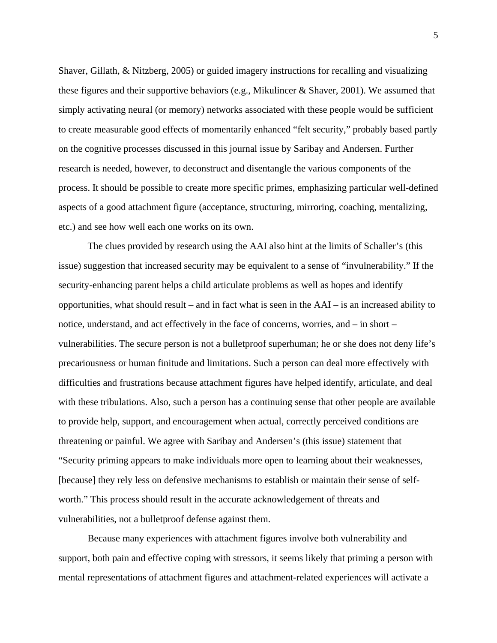Shaver, Gillath, & Nitzberg, 2005) or guided imagery instructions for recalling and visualizing these figures and their supportive behaviors (e.g., Mikulincer & Shaver, 2001). We assumed that simply activating neural (or memory) networks associated with these people would be sufficient to create measurable good effects of momentarily enhanced "felt security," probably based partly on the cognitive processes discussed in this journal issue by Saribay and Andersen. Further research is needed, however, to deconstruct and disentangle the various components of the process. It should be possible to create more specific primes, emphasizing particular well-defined aspects of a good attachment figure (acceptance, structuring, mirroring, coaching, mentalizing, etc.) and see how well each one works on its own.

The clues provided by research using the AAI also hint at the limits of Schaller's (this issue) suggestion that increased security may be equivalent to a sense of "invulnerability." If the security-enhancing parent helps a child articulate problems as well as hopes and identify opportunities, what should result – and in fact what is seen in the AAI – is an increased ability to notice, understand, and act effectively in the face of concerns, worries, and – in short – vulnerabilities. The secure person is not a bulletproof superhuman; he or she does not deny life's precariousness or human finitude and limitations. Such a person can deal more effectively with difficulties and frustrations because attachment figures have helped identify, articulate, and deal with these tribulations. Also, such a person has a continuing sense that other people are available to provide help, support, and encouragement when actual, correctly perceived conditions are threatening or painful. We agree with Saribay and Andersen's (this issue) statement that "Security priming appears to make individuals more open to learning about their weaknesses, [because] they rely less on defensive mechanisms to establish or maintain their sense of selfworth." This process should result in the accurate acknowledgement of threats and vulnerabilities, not a bulletproof defense against them.

Because many experiences with attachment figures involve both vulnerability and support, both pain and effective coping with stressors, it seems likely that priming a person with mental representations of attachment figures and attachment-related experiences will activate a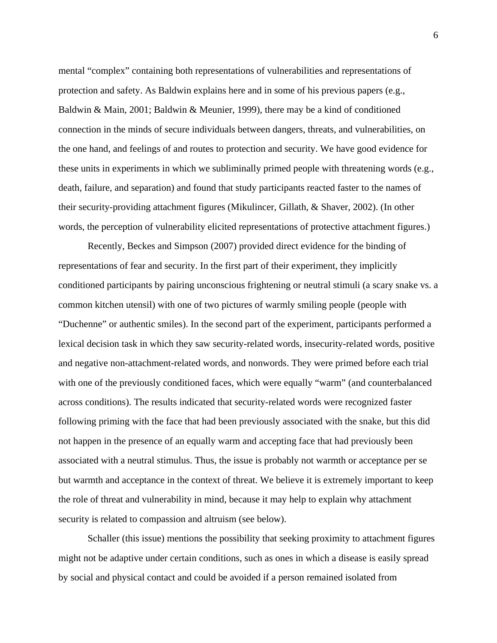mental "complex" containing both representations of vulnerabilities and representations of protection and safety. As Baldwin explains here and in some of his previous papers (e.g., Baldwin & Main, 2001; Baldwin & Meunier, 1999), there may be a kind of conditioned connection in the minds of secure individuals between dangers, threats, and vulnerabilities, on the one hand, and feelings of and routes to protection and security. We have good evidence for these units in experiments in which we subliminally primed people with threatening words (e.g., death, failure, and separation) and found that study participants reacted faster to the names of their security-providing attachment figures (Mikulincer, Gillath, & Shaver, 2002). (In other words, the perception of vulnerability elicited representations of protective attachment figures.)

Recently, Beckes and Simpson (2007) provided direct evidence for the binding of representations of fear and security. In the first part of their experiment, they implicitly conditioned participants by pairing unconscious frightening or neutral stimuli (a scary snake vs. a common kitchen utensil) with one of two pictures of warmly smiling people (people with "Duchenne" or authentic smiles). In the second part of the experiment, participants performed a lexical decision task in which they saw security-related words, insecurity-related words, positive and negative non-attachment-related words, and nonwords. They were primed before each trial with one of the previously conditioned faces, which were equally "warm" (and counterbalanced across conditions). The results indicated that security-related words were recognized faster following priming with the face that had been previously associated with the snake, but this did not happen in the presence of an equally warm and accepting face that had previously been associated with a neutral stimulus. Thus, the issue is probably not warmth or acceptance per se but warmth and acceptance in the context of threat. We believe it is extremely important to keep the role of threat and vulnerability in mind, because it may help to explain why attachment security is related to compassion and altruism (see below).

Schaller (this issue) mentions the possibility that seeking proximity to attachment figures might not be adaptive under certain conditions, such as ones in which a disease is easily spread by social and physical contact and could be avoided if a person remained isolated from

6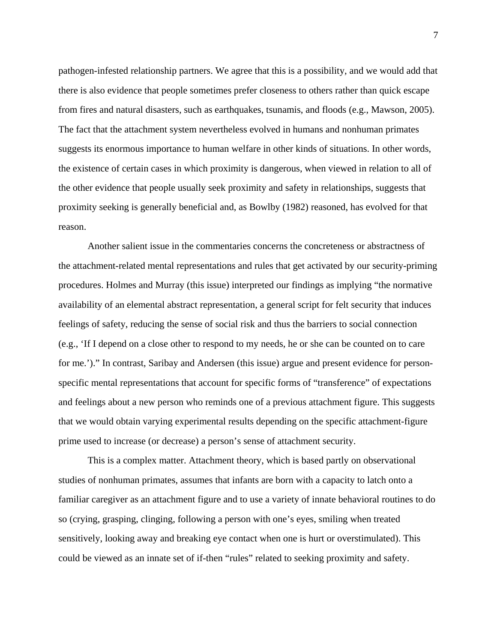pathogen-infested relationship partners. We agree that this is a possibility, and we would add that there is also evidence that people sometimes prefer closeness to others rather than quick escape from fires and natural disasters, such as earthquakes, tsunamis, and floods (e.g., Mawson, 2005). The fact that the attachment system nevertheless evolved in humans and nonhuman primates suggests its enormous importance to human welfare in other kinds of situations. In other words, the existence of certain cases in which proximity is dangerous, when viewed in relation to all of the other evidence that people usually seek proximity and safety in relationships, suggests that proximity seeking is generally beneficial and, as Bowlby (1982) reasoned, has evolved for that reason.

Another salient issue in the commentaries concerns the concreteness or abstractness of the attachment-related mental representations and rules that get activated by our security-priming procedures. Holmes and Murray (this issue) interpreted our findings as implying "the normative availability of an elemental abstract representation, a general script for felt security that induces feelings of safety, reducing the sense of social risk and thus the barriers to social connection (e.g., 'If I depend on a close other to respond to my needs, he or she can be counted on to care for me.')." In contrast, Saribay and Andersen (this issue) argue and present evidence for personspecific mental representations that account for specific forms of "transference" of expectations and feelings about a new person who reminds one of a previous attachment figure. This suggests that we would obtain varying experimental results depending on the specific attachment-figure prime used to increase (or decrease) a person's sense of attachment security.

This is a complex matter. Attachment theory, which is based partly on observational studies of nonhuman primates, assumes that infants are born with a capacity to latch onto a familiar caregiver as an attachment figure and to use a variety of innate behavioral routines to do so (crying, grasping, clinging, following a person with one's eyes, smiling when treated sensitively, looking away and breaking eye contact when one is hurt or overstimulated). This could be viewed as an innate set of if-then "rules" related to seeking proximity and safety.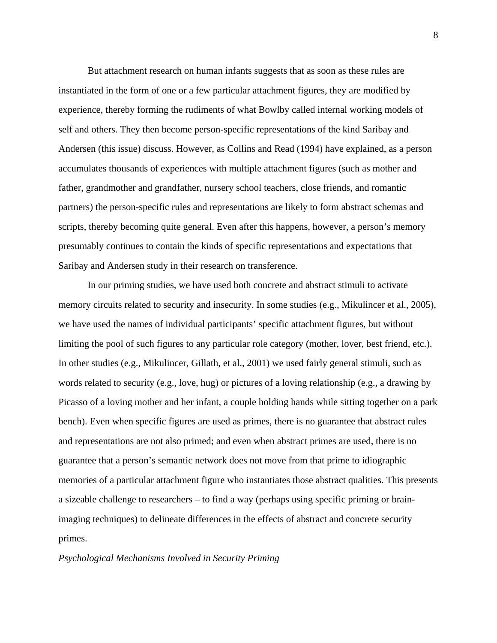But attachment research on human infants suggests that as soon as these rules are instantiated in the form of one or a few particular attachment figures, they are modified by experience, thereby forming the rudiments of what Bowlby called internal working models of self and others. They then become person-specific representations of the kind Saribay and Andersen (this issue) discuss. However, as Collins and Read (1994) have explained, as a person accumulates thousands of experiences with multiple attachment figures (such as mother and father, grandmother and grandfather, nursery school teachers, close friends, and romantic partners) the person-specific rules and representations are likely to form abstract schemas and scripts, thereby becoming quite general. Even after this happens, however, a person's memory presumably continues to contain the kinds of specific representations and expectations that Saribay and Andersen study in their research on transference.

In our priming studies, we have used both concrete and abstract stimuli to activate memory circuits related to security and insecurity. In some studies (e.g., Mikulincer et al., 2005), we have used the names of individual participants' specific attachment figures, but without limiting the pool of such figures to any particular role category (mother, lover, best friend, etc.). In other studies (e.g., Mikulincer, Gillath, et al., 2001) we used fairly general stimuli, such as words related to security (e.g., love, hug) or pictures of a loving relationship (e.g., a drawing by Picasso of a loving mother and her infant, a couple holding hands while sitting together on a park bench). Even when specific figures are used as primes, there is no guarantee that abstract rules and representations are not also primed; and even when abstract primes are used, there is no guarantee that a person's semantic network does not move from that prime to idiographic memories of a particular attachment figure who instantiates those abstract qualities. This presents a sizeable challenge to researchers – to find a way (perhaps using specific priming or brainimaging techniques) to delineate differences in the effects of abstract and concrete security primes.

*Psychological Mechanisms Involved in Security Priming*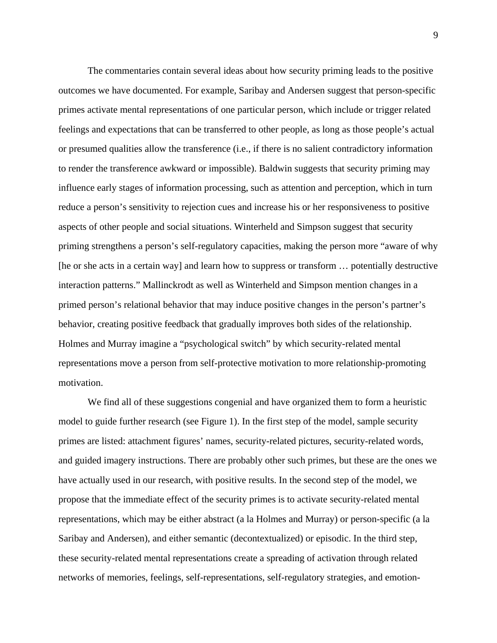The commentaries contain several ideas about how security priming leads to the positive outcomes we have documented. For example, Saribay and Andersen suggest that person-specific primes activate mental representations of one particular person, which include or trigger related feelings and expectations that can be transferred to other people, as long as those people's actual or presumed qualities allow the transference (i.e., if there is no salient contradictory information to render the transference awkward or impossible). Baldwin suggests that security priming may influence early stages of information processing, such as attention and perception, which in turn reduce a person's sensitivity to rejection cues and increase his or her responsiveness to positive aspects of other people and social situations. Winterheld and Simpson suggest that security priming strengthens a person's self-regulatory capacities, making the person more "aware of why [he or she acts in a certain way] and learn how to suppress or transform … potentially destructive interaction patterns." Mallinckrodt as well as Winterheld and Simpson mention changes in a primed person's relational behavior that may induce positive changes in the person's partner's behavior, creating positive feedback that gradually improves both sides of the relationship. Holmes and Murray imagine a "psychological switch" by which security-related mental representations move a person from self-protective motivation to more relationship-promoting motivation.

We find all of these suggestions congenial and have organized them to form a heuristic model to guide further research (see Figure 1). In the first step of the model, sample security primes are listed: attachment figures' names, security-related pictures, security-related words, and guided imagery instructions. There are probably other such primes, but these are the ones we have actually used in our research, with positive results. In the second step of the model, we propose that the immediate effect of the security primes is to activate security-related mental representations, which may be either abstract (a la Holmes and Murray) or person-specific (a la Saribay and Andersen), and either semantic (decontextualized) or episodic. In the third step, these security-related mental representations create a spreading of activation through related networks of memories, feelings, self-representations, self-regulatory strategies, and emotion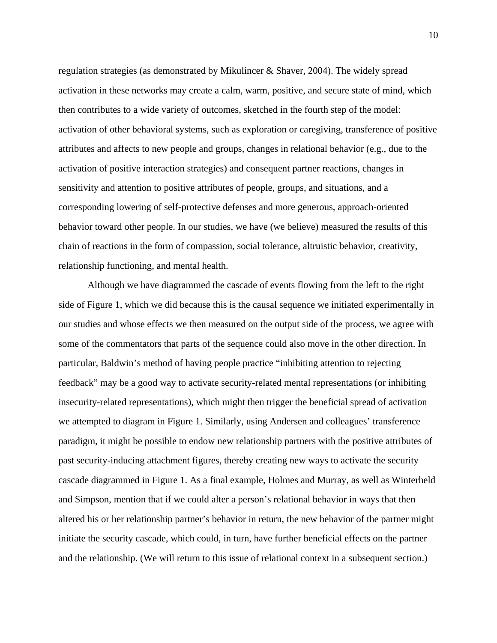regulation strategies (as demonstrated by Mikulincer & Shaver, 2004). The widely spread activation in these networks may create a calm, warm, positive, and secure state of mind, which then contributes to a wide variety of outcomes, sketched in the fourth step of the model: activation of other behavioral systems, such as exploration or caregiving, transference of positive attributes and affects to new people and groups, changes in relational behavior (e.g., due to the activation of positive interaction strategies) and consequent partner reactions, changes in sensitivity and attention to positive attributes of people, groups, and situations, and a corresponding lowering of self-protective defenses and more generous, approach-oriented behavior toward other people. In our studies, we have (we believe) measured the results of this chain of reactions in the form of compassion, social tolerance, altruistic behavior, creativity, relationship functioning, and mental health.

Although we have diagrammed the cascade of events flowing from the left to the right side of Figure 1, which we did because this is the causal sequence we initiated experimentally in our studies and whose effects we then measured on the output side of the process, we agree with some of the commentators that parts of the sequence could also move in the other direction. In particular, Baldwin's method of having people practice "inhibiting attention to rejecting feedback" may be a good way to activate security-related mental representations (or inhibiting insecurity-related representations), which might then trigger the beneficial spread of activation we attempted to diagram in Figure 1. Similarly, using Andersen and colleagues' transference paradigm, it might be possible to endow new relationship partners with the positive attributes of past security-inducing attachment figures, thereby creating new ways to activate the security cascade diagrammed in Figure 1. As a final example, Holmes and Murray, as well as Winterheld and Simpson, mention that if we could alter a person's relational behavior in ways that then altered his or her relationship partner's behavior in return, the new behavior of the partner might initiate the security cascade, which could, in turn, have further beneficial effects on the partner and the relationship. (We will return to this issue of relational context in a subsequent section.)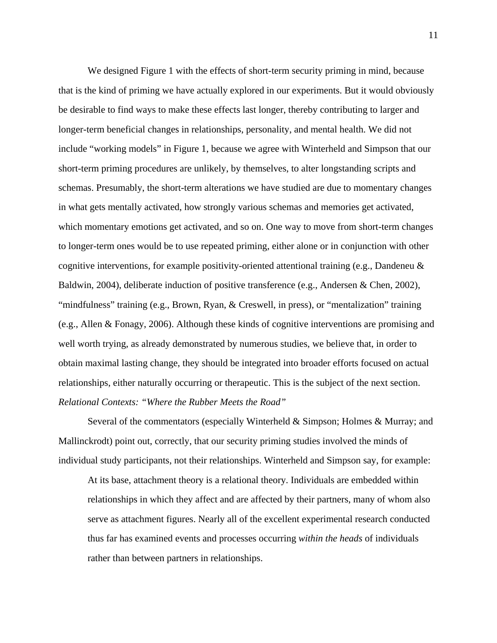We designed Figure 1 with the effects of short-term security priming in mind, because that is the kind of priming we have actually explored in our experiments. But it would obviously be desirable to find ways to make these effects last longer, thereby contributing to larger and longer-term beneficial changes in relationships, personality, and mental health. We did not include "working models" in Figure 1, because we agree with Winterheld and Simpson that our short-term priming procedures are unlikely, by themselves, to alter longstanding scripts and schemas. Presumably, the short-term alterations we have studied are due to momentary changes in what gets mentally activated, how strongly various schemas and memories get activated, which momentary emotions get activated, and so on. One way to move from short-term changes to longer-term ones would be to use repeated priming, either alone or in conjunction with other cognitive interventions, for example positivity-oriented attentional training (e.g., Dandeneu & Baldwin, 2004), deliberate induction of positive transference (e.g., Andersen & Chen, 2002), "mindfulness" training (e.g., Brown, Ryan, & Creswell, in press), or "mentalization" training (e.g., Allen & Fonagy, 2006). Although these kinds of cognitive interventions are promising and well worth trying, as already demonstrated by numerous studies, we believe that, in order to obtain maximal lasting change, they should be integrated into broader efforts focused on actual relationships, either naturally occurring or therapeutic. This is the subject of the next section. *Relational Contexts: "Where the Rubber Meets the Road"*

Several of the commentators (especially Winterheld & Simpson; Holmes & Murray; and Mallinckrodt) point out, correctly, that our security priming studies involved the minds of individual study participants, not their relationships. Winterheld and Simpson say, for example:

At its base, attachment theory is a relational theory. Individuals are embedded within relationships in which they affect and are affected by their partners, many of whom also serve as attachment figures. Nearly all of the excellent experimental research conducted thus far has examined events and processes occurring *within the heads* of individuals rather than between partners in relationships.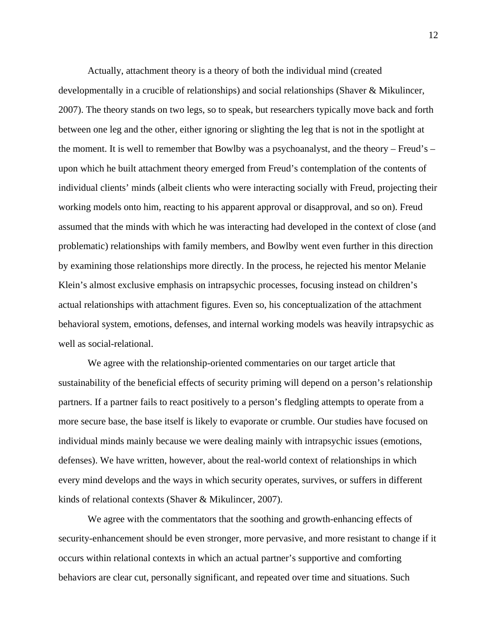Actually, attachment theory is a theory of both the individual mind (created developmentally in a crucible of relationships) and social relationships (Shaver & Mikulincer, 2007). The theory stands on two legs, so to speak, but researchers typically move back and forth between one leg and the other, either ignoring or slighting the leg that is not in the spotlight at the moment. It is well to remember that Bowlby was a psychoanalyst, and the theory – Freud's – upon which he built attachment theory emerged from Freud's contemplation of the contents of individual clients' minds (albeit clients who were interacting socially with Freud, projecting their working models onto him, reacting to his apparent approval or disapproval, and so on). Freud assumed that the minds with which he was interacting had developed in the context of close (and problematic) relationships with family members, and Bowlby went even further in this direction by examining those relationships more directly. In the process, he rejected his mentor Melanie Klein's almost exclusive emphasis on intrapsychic processes, focusing instead on children's actual relationships with attachment figures. Even so, his conceptualization of the attachment behavioral system, emotions, defenses, and internal working models was heavily intrapsychic as well as social-relational.

We agree with the relationship-oriented commentaries on our target article that sustainability of the beneficial effects of security priming will depend on a person's relationship partners. If a partner fails to react positively to a person's fledgling attempts to operate from a more secure base, the base itself is likely to evaporate or crumble. Our studies have focused on individual minds mainly because we were dealing mainly with intrapsychic issues (emotions, defenses). We have written, however, about the real-world context of relationships in which every mind develops and the ways in which security operates, survives, or suffers in different kinds of relational contexts (Shaver & Mikulincer, 2007).

We agree with the commentators that the soothing and growth-enhancing effects of security-enhancement should be even stronger, more pervasive, and more resistant to change if it occurs within relational contexts in which an actual partner's supportive and comforting behaviors are clear cut, personally significant, and repeated over time and situations. Such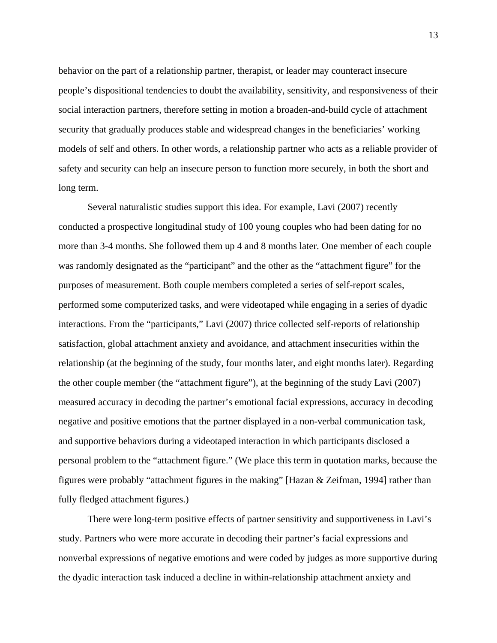behavior on the part of a relationship partner, therapist, or leader may counteract insecure people's dispositional tendencies to doubt the availability, sensitivity, and responsiveness of their social interaction partners, therefore setting in motion a broaden-and-build cycle of attachment security that gradually produces stable and widespread changes in the beneficiaries' working models of self and others. In other words, a relationship partner who acts as a reliable provider of safety and security can help an insecure person to function more securely, in both the short and long term.

Several naturalistic studies support this idea. For example, Lavi (2007) recently conducted a prospective longitudinal study of 100 young couples who had been dating for no more than 3-4 months. She followed them up 4 and 8 months later. One member of each couple was randomly designated as the "participant" and the other as the "attachment figure" for the purposes of measurement. Both couple members completed a series of self-report scales, performed some computerized tasks, and were videotaped while engaging in a series of dyadic interactions. From the "participants," Lavi (2007) thrice collected self-reports of relationship satisfaction, global attachment anxiety and avoidance, and attachment insecurities within the relationship (at the beginning of the study, four months later, and eight months later). Regarding the other couple member (the "attachment figure"), at the beginning of the study Lavi (2007) measured accuracy in decoding the partner's emotional facial expressions, accuracy in decoding negative and positive emotions that the partner displayed in a non-verbal communication task, and supportive behaviors during a videotaped interaction in which participants disclosed a personal problem to the "attachment figure." (We place this term in quotation marks, because the figures were probably "attachment figures in the making" [Hazan & Zeifman, 1994] rather than fully fledged attachment figures.)

There were long-term positive effects of partner sensitivity and supportiveness in Lavi's study. Partners who were more accurate in decoding their partner's facial expressions and nonverbal expressions of negative emotions and were coded by judges as more supportive during the dyadic interaction task induced a decline in within-relationship attachment anxiety and

13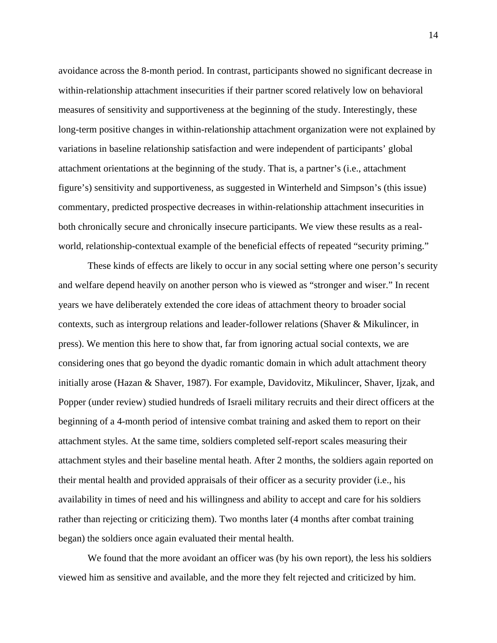avoidance across the 8-month period. In contrast, participants showed no significant decrease in within-relationship attachment insecurities if their partner scored relatively low on behavioral measures of sensitivity and supportiveness at the beginning of the study. Interestingly, these long-term positive changes in within-relationship attachment organization were not explained by variations in baseline relationship satisfaction and were independent of participants' global attachment orientations at the beginning of the study. That is, a partner's (i.e., attachment figure's) sensitivity and supportiveness, as suggested in Winterheld and Simpson's (this issue) commentary, predicted prospective decreases in within-relationship attachment insecurities in both chronically secure and chronically insecure participants. We view these results as a realworld, relationship-contextual example of the beneficial effects of repeated "security priming."

These kinds of effects are likely to occur in any social setting where one person's security and welfare depend heavily on another person who is viewed as "stronger and wiser." In recent years we have deliberately extended the core ideas of attachment theory to broader social contexts, such as intergroup relations and leader-follower relations (Shaver & Mikulincer, in press). We mention this here to show that, far from ignoring actual social contexts, we are considering ones that go beyond the dyadic romantic domain in which adult attachment theory initially arose (Hazan & Shaver, 1987). For example, Davidovitz, Mikulincer, Shaver, Ijzak, and Popper (under review) studied hundreds of Israeli military recruits and their direct officers at the beginning of a 4-month period of intensive combat training and asked them to report on their attachment styles. At the same time, soldiers completed self-report scales measuring their attachment styles and their baseline mental heath. After 2 months, the soldiers again reported on their mental health and provided appraisals of their officer as a security provider (i.e., his availability in times of need and his willingness and ability to accept and care for his soldiers rather than rejecting or criticizing them). Two months later (4 months after combat training began) the soldiers once again evaluated their mental health.

We found that the more avoidant an officer was (by his own report), the less his soldiers viewed him as sensitive and available, and the more they felt rejected and criticized by him.

14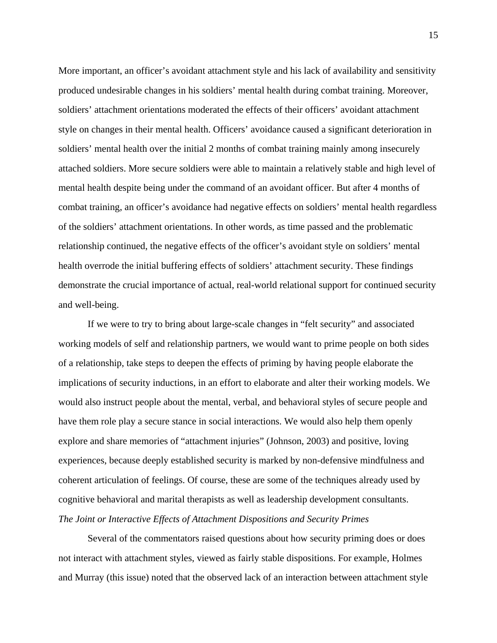More important, an officer's avoidant attachment style and his lack of availability and sensitivity produced undesirable changes in his soldiers' mental health during combat training. Moreover, soldiers' attachment orientations moderated the effects of their officers' avoidant attachment style on changes in their mental health. Officers' avoidance caused a significant deterioration in soldiers' mental health over the initial 2 months of combat training mainly among insecurely attached soldiers. More secure soldiers were able to maintain a relatively stable and high level of mental health despite being under the command of an avoidant officer. But after 4 months of combat training, an officer's avoidance had negative effects on soldiers' mental health regardless of the soldiers' attachment orientations. In other words, as time passed and the problematic relationship continued, the negative effects of the officer's avoidant style on soldiers' mental health overrode the initial buffering effects of soldiers' attachment security. These findings demonstrate the crucial importance of actual, real-world relational support for continued security and well-being.

If we were to try to bring about large-scale changes in "felt security" and associated working models of self and relationship partners, we would want to prime people on both sides of a relationship, take steps to deepen the effects of priming by having people elaborate the implications of security inductions, in an effort to elaborate and alter their working models. We would also instruct people about the mental, verbal, and behavioral styles of secure people and have them role play a secure stance in social interactions. We would also help them openly explore and share memories of "attachment injuries" (Johnson, 2003) and positive, loving experiences, because deeply established security is marked by non-defensive mindfulness and coherent articulation of feelings. Of course, these are some of the techniques already used by cognitive behavioral and marital therapists as well as leadership development consultants. *The Joint or Interactive Effects of Attachment Dispositions and Security Primes*

Several of the commentators raised questions about how security priming does or does not interact with attachment styles, viewed as fairly stable dispositions. For example, Holmes and Murray (this issue) noted that the observed lack of an interaction between attachment style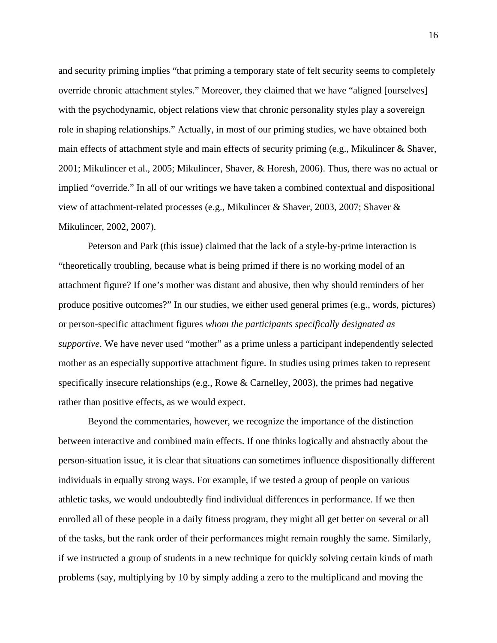and security priming implies "that priming a temporary state of felt security seems to completely override chronic attachment styles." Moreover, they claimed that we have "aligned [ourselves] with the psychodynamic, object relations view that chronic personality styles play a sovereign role in shaping relationships." Actually, in most of our priming studies, we have obtained both main effects of attachment style and main effects of security priming (e.g., Mikulincer & Shaver, 2001; Mikulincer et al., 2005; Mikulincer, Shaver, & Horesh, 2006). Thus, there was no actual or implied "override." In all of our writings we have taken a combined contextual and dispositional view of attachment-related processes (e.g., Mikulincer & Shaver, 2003, 2007; Shaver & Mikulincer, 2002, 2007).

Peterson and Park (this issue) claimed that the lack of a style-by-prime interaction is "theoretically troubling, because what is being primed if there is no working model of an attachment figure? If one's mother was distant and abusive, then why should reminders of her produce positive outcomes?" In our studies, we either used general primes (e.g., words, pictures) or person-specific attachment figures *whom the participants specifically designated as supportive*. We have never used "mother" as a prime unless a participant independently selected mother as an especially supportive attachment figure. In studies using primes taken to represent specifically insecure relationships (e.g., Rowe & Carnelley, 2003), the primes had negative rather than positive effects, as we would expect.

Beyond the commentaries, however, we recognize the importance of the distinction between interactive and combined main effects. If one thinks logically and abstractly about the person-situation issue, it is clear that situations can sometimes influence dispositionally different individuals in equally strong ways. For example, if we tested a group of people on various athletic tasks, we would undoubtedly find individual differences in performance. If we then enrolled all of these people in a daily fitness program, they might all get better on several or all of the tasks, but the rank order of their performances might remain roughly the same. Similarly, if we instructed a group of students in a new technique for quickly solving certain kinds of math problems (say, multiplying by 10 by simply adding a zero to the multiplicand and moving the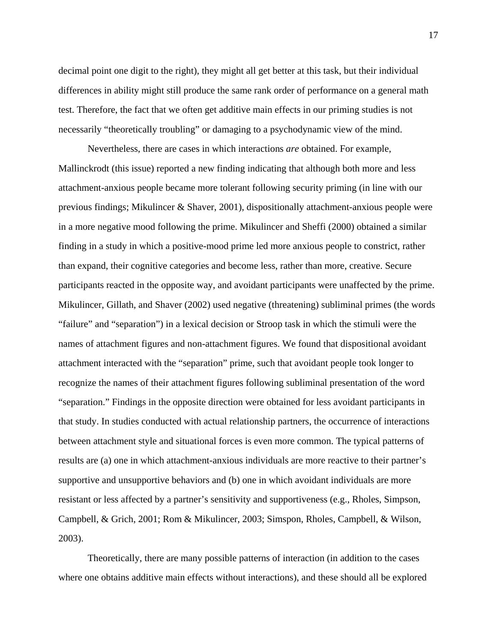decimal point one digit to the right), they might all get better at this task, but their individual differences in ability might still produce the same rank order of performance on a general math test. Therefore, the fact that we often get additive main effects in our priming studies is not necessarily "theoretically troubling" or damaging to a psychodynamic view of the mind.

Nevertheless, there are cases in which interactions *are* obtained. For example, Mallinckrodt (this issue) reported a new finding indicating that although both more and less attachment-anxious people became more tolerant following security priming (in line with our previous findings; Mikulincer & Shaver, 2001), dispositionally attachment-anxious people were in a more negative mood following the prime. Mikulincer and Sheffi (2000) obtained a similar finding in a study in which a positive-mood prime led more anxious people to constrict, rather than expand, their cognitive categories and become less, rather than more, creative. Secure participants reacted in the opposite way, and avoidant participants were unaffected by the prime. Mikulincer, Gillath, and Shaver (2002) used negative (threatening) subliminal primes (the words "failure" and "separation") in a lexical decision or Stroop task in which the stimuli were the names of attachment figures and non-attachment figures. We found that dispositional avoidant attachment interacted with the "separation" prime, such that avoidant people took longer to recognize the names of their attachment figures following subliminal presentation of the word "separation." Findings in the opposite direction were obtained for less avoidant participants in that study. In studies conducted with actual relationship partners, the occurrence of interactions between attachment style and situational forces is even more common. The typical patterns of results are (a) one in which attachment-anxious individuals are more reactive to their partner's supportive and unsupportive behaviors and (b) one in which avoidant individuals are more resistant or less affected by a partner's sensitivity and supportiveness (e.g., Rholes, Simpson, Campbell, & Grich, 2001; Rom & Mikulincer, 2003; Simspon, Rholes, Campbell, & Wilson, 2003).

Theoretically, there are many possible patterns of interaction (in addition to the cases where one obtains additive main effects without interactions), and these should all be explored

17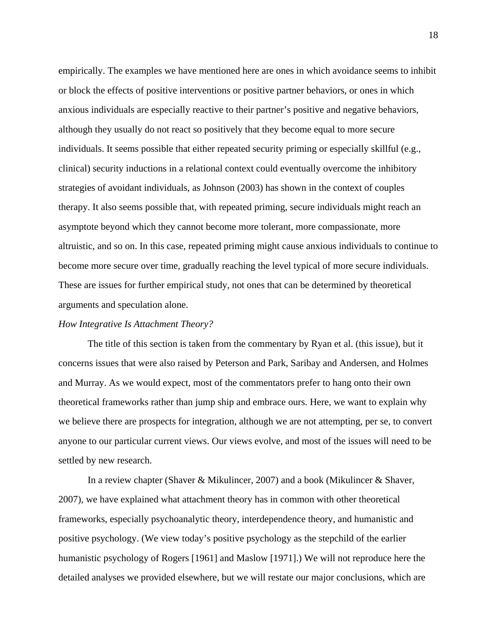empirically. The examples we have mentioned here are ones in which avoidance seems to inhibit or block the effects of positive interventions or positive partner behaviors, or ones in which anxious individuals are especially reactive to their partner's positive and negative behaviors, although they usually do not react so positively that they become equal to more secure individuals. It seems possible that either repeated security priming or especially skillful (e.g., clinical) security inductions in a relational context could eventually overcome the inhibitory strategies of avoidant individuals, as Johnson (2003) has shown in the context of couples therapy. It also seems possible that, with repeated priming, secure individuals might reach an asymptote beyond which they cannot become more tolerant, more compassionate, more altruistic, and so on. In this case, repeated priming might cause anxious individuals to continue to become more secure over time, gradually reaching the level typical of more secure individuals. These are issues for further empirical study, not ones that can be determined by theoretical arguments and speculation alone.

## *How Integrative Is Attachment Theory?*

The title of this section is taken from the commentary by Ryan et al. (this issue), but it concerns issues that were also raised by Peterson and Park, Saribay and Andersen, and Holmes and Murray. As we would expect, most of the commentators prefer to hang onto their own theoretical frameworks rather than jump ship and embrace ours. Here, we want to explain why we believe there are prospects for integration, although we are not attempting, per se, to convert anyone to our particular current views. Our views evolve, and most of the issues will need to be settled by new research.

In a review chapter (Shaver & Mikulincer, 2007) and a book (Mikulincer & Shaver, 2007), we have explained what attachment theory has in common with other theoretical frameworks, especially psychoanalytic theory, interdependence theory, and humanistic and positive psychology. (We view today's positive psychology as the stepchild of the earlier humanistic psychology of Rogers [1961] and Maslow [1971].) We will not reproduce here the detailed analyses we provided elsewhere, but we will restate our major conclusions, which are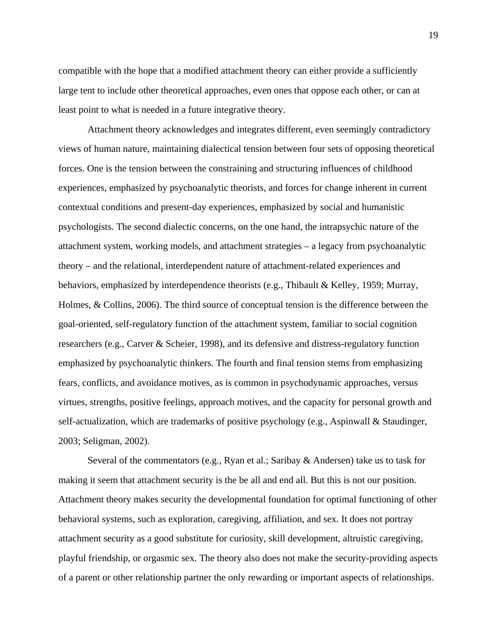compatible with the hope that a modified attachment theory can either provide a sufficiently large tent to include other theoretical approaches, even ones that oppose each other, or can at least point to what is needed in a future integrative theory.

Attachment theory acknowledges and integrates different, even seemingly contradictory views of human nature, maintaining dialectical tension between four sets of opposing theoretical forces. One is the tension between the constraining and structuring influences of childhood experiences, emphasized by psychoanalytic theorists, and forces for change inherent in current contextual conditions and present-day experiences, emphasized by social and humanistic psychologists. The second dialectic concerns, on the one hand, the intrapsychic nature of the attachment system, working models, and attachment strategies – a legacy from psychoanalytic theory – and the relational, interdependent nature of attachment-related experiences and behaviors, emphasized by interdependence theorists (e.g., Thibault & Kelley, 1959; Murray, Holmes, & Collins, 2006). The third source of conceptual tension is the difference between the goal-oriented, self-regulatory function of the attachment system, familiar to social cognition researchers (e.g., Carver & Scheier, 1998), and its defensive and distress-regulatory function emphasized by psychoanalytic thinkers. The fourth and final tension stems from emphasizing fears, conflicts, and avoidance motives, as is common in psychodynamic approaches, versus virtues, strengths, positive feelings, approach motives, and the capacity for personal growth and self-actualization, which are trademarks of positive psychology (e.g., Aspinwall & Staudinger, 2003; Seligman, 2002).

Several of the commentators (e.g., Ryan et al.; Saribay & Andersen) take us to task for making it seem that attachment security is the be all and end all. But this is not our position. Attachment theory makes security the developmental foundation for optimal functioning of other behavioral systems, such as exploration, caregiving, affiliation, and sex. It does not portray attachment security as a good substitute for curiosity, skill development, altruistic caregiving, playful friendship, or orgasmic sex. The theory also does not make the security-providing aspects of a parent or other relationship partner the only rewarding or important aspects of relationships.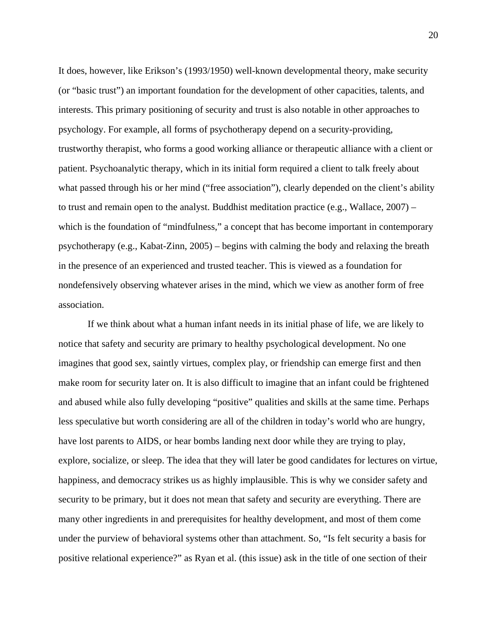It does, however, like Erikson's (1993/1950) well-known developmental theory, make security (or "basic trust") an important foundation for the development of other capacities, talents, and interests. This primary positioning of security and trust is also notable in other approaches to psychology. For example, all forms of psychotherapy depend on a security-providing, trustworthy therapist, who forms a good working alliance or therapeutic alliance with a client or patient. Psychoanalytic therapy, which in its initial form required a client to talk freely about what passed through his or her mind ("free association"), clearly depended on the client's ability to trust and remain open to the analyst. Buddhist meditation practice (e.g., Wallace,  $2007$ ) – which is the foundation of "mindfulness," a concept that has become important in contemporary psychotherapy (e.g., Kabat-Zinn, 2005) – begins with calming the body and relaxing the breath in the presence of an experienced and trusted teacher. This is viewed as a foundation for nondefensively observing whatever arises in the mind, which we view as another form of free association.

If we think about what a human infant needs in its initial phase of life, we are likely to notice that safety and security are primary to healthy psychological development. No one imagines that good sex, saintly virtues, complex play, or friendship can emerge first and then make room for security later on. It is also difficult to imagine that an infant could be frightened and abused while also fully developing "positive" qualities and skills at the same time. Perhaps less speculative but worth considering are all of the children in today's world who are hungry, have lost parents to AIDS, or hear bombs landing next door while they are trying to play, explore, socialize, or sleep. The idea that they will later be good candidates for lectures on virtue, happiness, and democracy strikes us as highly implausible. This is why we consider safety and security to be primary, but it does not mean that safety and security are everything. There are many other ingredients in and prerequisites for healthy development, and most of them come under the purview of behavioral systems other than attachment. So, "Is felt security a basis for positive relational experience?" as Ryan et al. (this issue) ask in the title of one section of their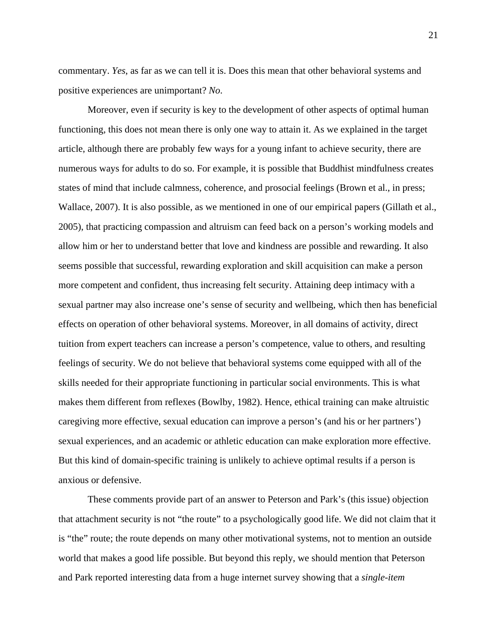commentary. *Yes*, as far as we can tell it is. Does this mean that other behavioral systems and positive experiences are unimportant? *No*.

Moreover, even if security is key to the development of other aspects of optimal human functioning, this does not mean there is only one way to attain it. As we explained in the target article, although there are probably few ways for a young infant to achieve security, there are numerous ways for adults to do so. For example, it is possible that Buddhist mindfulness creates states of mind that include calmness, coherence, and prosocial feelings (Brown et al., in press; Wallace, 2007). It is also possible, as we mentioned in one of our empirical papers (Gillath et al., 2005), that practicing compassion and altruism can feed back on a person's working models and allow him or her to understand better that love and kindness are possible and rewarding. It also seems possible that successful, rewarding exploration and skill acquisition can make a person more competent and confident, thus increasing felt security. Attaining deep intimacy with a sexual partner may also increase one's sense of security and wellbeing, which then has beneficial effects on operation of other behavioral systems. Moreover, in all domains of activity, direct tuition from expert teachers can increase a person's competence, value to others, and resulting feelings of security. We do not believe that behavioral systems come equipped with all of the skills needed for their appropriate functioning in particular social environments. This is what makes them different from reflexes (Bowlby, 1982). Hence, ethical training can make altruistic caregiving more effective, sexual education can improve a person's (and his or her partners') sexual experiences, and an academic or athletic education can make exploration more effective. But this kind of domain-specific training is unlikely to achieve optimal results if a person is anxious or defensive.

These comments provide part of an answer to Peterson and Park's (this issue) objection that attachment security is not "the route" to a psychologically good life. We did not claim that it is "the" route; the route depends on many other motivational systems, not to mention an outside world that makes a good life possible. But beyond this reply, we should mention that Peterson and Park reported interesting data from a huge internet survey showing that a *single-item*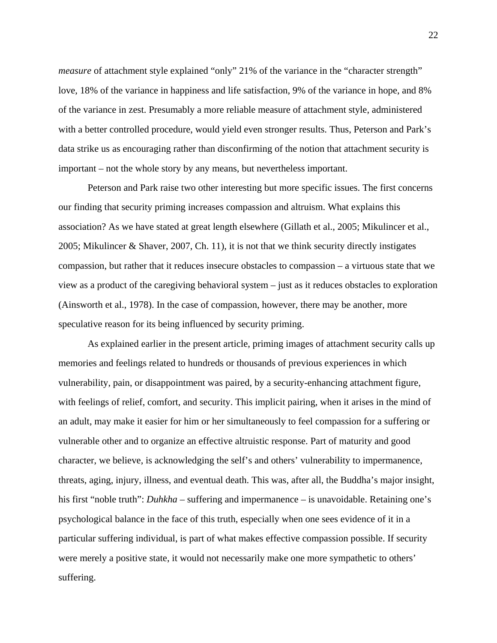*measure* of attachment style explained "only" 21% of the variance in the "character strength" love, 18% of the variance in happiness and life satisfaction, 9% of the variance in hope, and 8% of the variance in zest. Presumably a more reliable measure of attachment style, administered with a better controlled procedure, would yield even stronger results. Thus, Peterson and Park's data strike us as encouraging rather than disconfirming of the notion that attachment security is important – not the whole story by any means, but nevertheless important.

Peterson and Park raise two other interesting but more specific issues. The first concerns our finding that security priming increases compassion and altruism. What explains this association? As we have stated at great length elsewhere (Gillath et al., 2005; Mikulincer et al., 2005; Mikulincer & Shaver, 2007, Ch. 11), it is not that we think security directly instigates compassion, but rather that it reduces insecure obstacles to compassion – a virtuous state that we view as a product of the caregiving behavioral system – just as it reduces obstacles to exploration (Ainsworth et al., 1978). In the case of compassion, however, there may be another, more speculative reason for its being influenced by security priming.

As explained earlier in the present article, priming images of attachment security calls up memories and feelings related to hundreds or thousands of previous experiences in which vulnerability, pain, or disappointment was paired, by a security-enhancing attachment figure, with feelings of relief, comfort, and security. This implicit pairing, when it arises in the mind of an adult, may make it easier for him or her simultaneously to feel compassion for a suffering or vulnerable other and to organize an effective altruistic response. Part of maturity and good character, we believe, is acknowledging the self's and others' vulnerability to impermanence, threats, aging, injury, illness, and eventual death. This was, after all, the Buddha's major insight, his first "noble truth": *Duhkha* – suffering and impermanence – is unavoidable. Retaining one's psychological balance in the face of this truth, especially when one sees evidence of it in a particular suffering individual, is part of what makes effective compassion possible. If security were merely a positive state, it would not necessarily make one more sympathetic to others' suffering.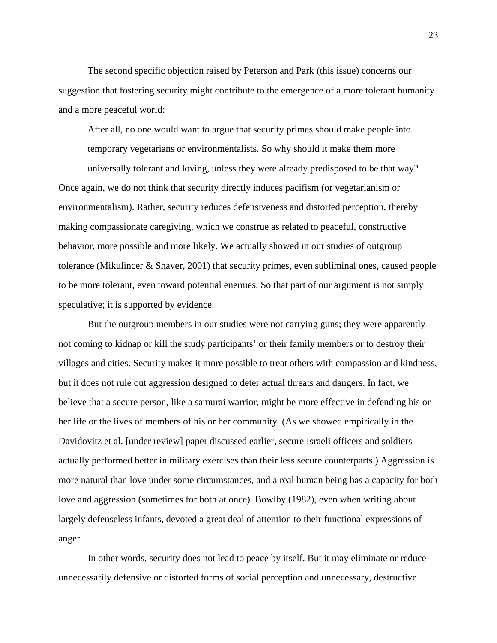The second specific objection raised by Peterson and Park (this issue) concerns our suggestion that fostering security might contribute to the emergence of a more tolerant humanity and a more peaceful world:

After all, no one would want to argue that security primes should make people into temporary vegetarians or environmentalists. So why should it make them more

universally tolerant and loving, unless they were already predisposed to be that way? Once again, we do not think that security directly induces pacifism (or vegetarianism or environmentalism). Rather, security reduces defensiveness and distorted perception, thereby making compassionate caregiving, which we construe as related to peaceful, constructive behavior, more possible and more likely. We actually showed in our studies of outgroup tolerance (Mikulincer & Shaver, 2001) that security primes, even subliminal ones, caused people to be more tolerant, even toward potential enemies. So that part of our argument is not simply speculative; it is supported by evidence.

But the outgroup members in our studies were not carrying guns; they were apparently not coming to kidnap or kill the study participants' or their family members or to destroy their villages and cities. Security makes it more possible to treat others with compassion and kindness, but it does not rule out aggression designed to deter actual threats and dangers. In fact, we believe that a secure person, like a samurai warrior, might be more effective in defending his or her life or the lives of members of his or her community. (As we showed empirically in the Davidovitz et al. [under review] paper discussed earlier, secure Israeli officers and soldiers actually performed better in military exercises than their less secure counterparts.) Aggression is more natural than love under some circumstances, and a real human being has a capacity for both love and aggression (sometimes for both at once). Bowlby (1982), even when writing about largely defenseless infants, devoted a great deal of attention to their functional expressions of anger.

In other words, security does not lead to peace by itself. But it may eliminate or reduce unnecessarily defensive or distorted forms of social perception and unnecessary, destructive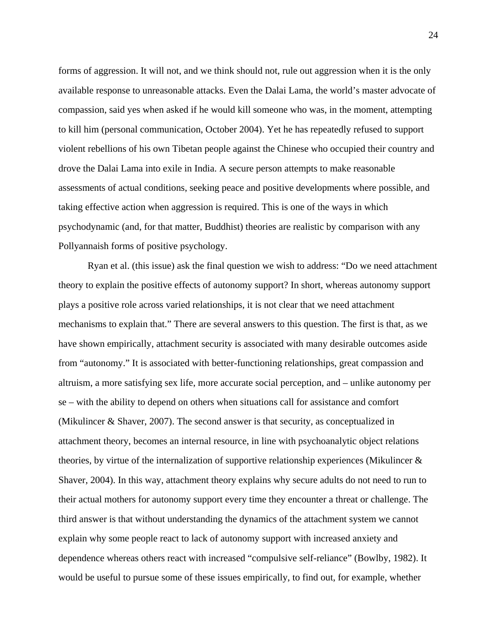forms of aggression. It will not, and we think should not, rule out aggression when it is the only available response to unreasonable attacks. Even the Dalai Lama, the world's master advocate of compassion, said yes when asked if he would kill someone who was, in the moment, attempting to kill him (personal communication, October 2004). Yet he has repeatedly refused to support violent rebellions of his own Tibetan people against the Chinese who occupied their country and drove the Dalai Lama into exile in India. A secure person attempts to make reasonable assessments of actual conditions, seeking peace and positive developments where possible, and taking effective action when aggression is required. This is one of the ways in which psychodynamic (and, for that matter, Buddhist) theories are realistic by comparison with any Pollyannaish forms of positive psychology.

Ryan et al. (this issue) ask the final question we wish to address: "Do we need attachment theory to explain the positive effects of autonomy support? In short, whereas autonomy support plays a positive role across varied relationships, it is not clear that we need attachment mechanisms to explain that." There are several answers to this question. The first is that, as we have shown empirically, attachment security is associated with many desirable outcomes aside from "autonomy." It is associated with better-functioning relationships, great compassion and altruism, a more satisfying sex life, more accurate social perception, and – unlike autonomy per se – with the ability to depend on others when situations call for assistance and comfort (Mikulincer & Shaver, 2007). The second answer is that security, as conceptualized in attachment theory, becomes an internal resource, in line with psychoanalytic object relations theories, by virtue of the internalization of supportive relationship experiences (Mikulincer & Shaver, 2004). In this way, attachment theory explains why secure adults do not need to run to their actual mothers for autonomy support every time they encounter a threat or challenge. The third answer is that without understanding the dynamics of the attachment system we cannot explain why some people react to lack of autonomy support with increased anxiety and dependence whereas others react with increased "compulsive self-reliance" (Bowlby, 1982). It would be useful to pursue some of these issues empirically, to find out, for example, whether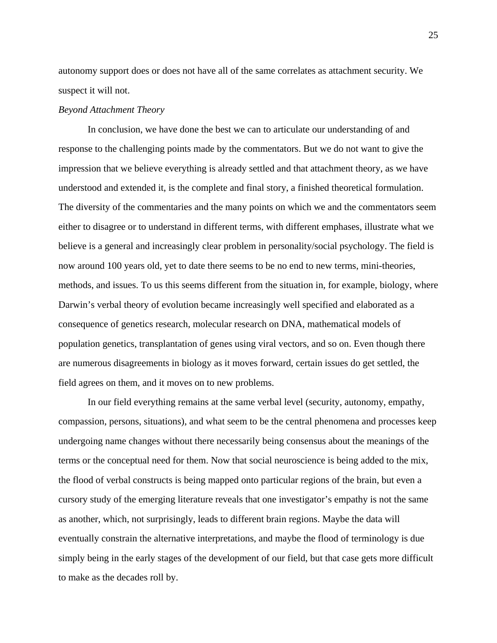autonomy support does or does not have all of the same correlates as attachment security. We suspect it will not.

# *Beyond Attachment Theory*

 In conclusion, we have done the best we can to articulate our understanding of and response to the challenging points made by the commentators. But we do not want to give the impression that we believe everything is already settled and that attachment theory, as we have understood and extended it, is the complete and final story, a finished theoretical formulation. The diversity of the commentaries and the many points on which we and the commentators seem either to disagree or to understand in different terms, with different emphases, illustrate what we believe is a general and increasingly clear problem in personality/social psychology. The field is now around 100 years old, yet to date there seems to be no end to new terms, mini-theories, methods, and issues. To us this seems different from the situation in, for example, biology, where Darwin's verbal theory of evolution became increasingly well specified and elaborated as a consequence of genetics research, molecular research on DNA, mathematical models of population genetics, transplantation of genes using viral vectors, and so on. Even though there are numerous disagreements in biology as it moves forward, certain issues do get settled, the field agrees on them, and it moves on to new problems.

In our field everything remains at the same verbal level (security, autonomy, empathy, compassion, persons, situations), and what seem to be the central phenomena and processes keep undergoing name changes without there necessarily being consensus about the meanings of the terms or the conceptual need for them. Now that social neuroscience is being added to the mix, the flood of verbal constructs is being mapped onto particular regions of the brain, but even a cursory study of the emerging literature reveals that one investigator's empathy is not the same as another, which, not surprisingly, leads to different brain regions. Maybe the data will eventually constrain the alternative interpretations, and maybe the flood of terminology is due simply being in the early stages of the development of our field, but that case gets more difficult to make as the decades roll by.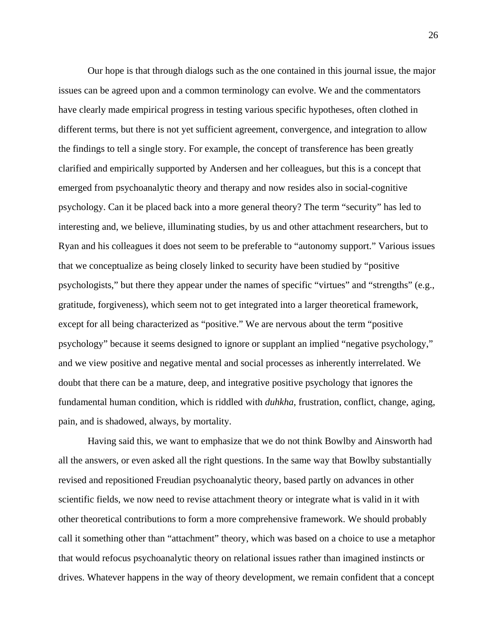Our hope is that through dialogs such as the one contained in this journal issue, the major issues can be agreed upon and a common terminology can evolve. We and the commentators have clearly made empirical progress in testing various specific hypotheses, often clothed in different terms, but there is not yet sufficient agreement, convergence, and integration to allow the findings to tell a single story. For example, the concept of transference has been greatly clarified and empirically supported by Andersen and her colleagues, but this is a concept that emerged from psychoanalytic theory and therapy and now resides also in social-cognitive psychology. Can it be placed back into a more general theory? The term "security" has led to interesting and, we believe, illuminating studies, by us and other attachment researchers, but to Ryan and his colleagues it does not seem to be preferable to "autonomy support." Various issues that we conceptualize as being closely linked to security have been studied by "positive psychologists," but there they appear under the names of specific "virtues" and "strengths" (e.g., gratitude, forgiveness), which seem not to get integrated into a larger theoretical framework, except for all being characterized as "positive." We are nervous about the term "positive psychology" because it seems designed to ignore or supplant an implied "negative psychology," and we view positive and negative mental and social processes as inherently interrelated. We doubt that there can be a mature, deep, and integrative positive psychology that ignores the fundamental human condition, which is riddled with *duhkha*, frustration, conflict, change, aging, pain, and is shadowed, always, by mortality.

 Having said this, we want to emphasize that we do not think Bowlby and Ainsworth had all the answers, or even asked all the right questions. In the same way that Bowlby substantially revised and repositioned Freudian psychoanalytic theory, based partly on advances in other scientific fields, we now need to revise attachment theory or integrate what is valid in it with other theoretical contributions to form a more comprehensive framework. We should probably call it something other than "attachment" theory, which was based on a choice to use a metaphor that would refocus psychoanalytic theory on relational issues rather than imagined instincts or drives. Whatever happens in the way of theory development, we remain confident that a concept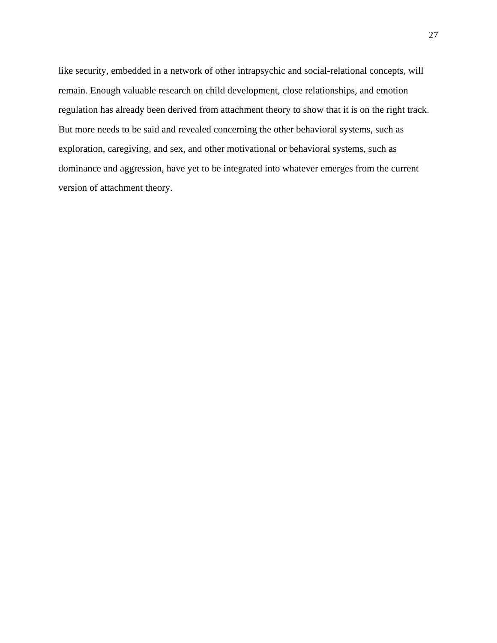like security, embedded in a network of other intrapsychic and social-relational concepts, will remain. Enough valuable research on child development, close relationships, and emotion regulation has already been derived from attachment theory to show that it is on the right track. But more needs to be said and revealed concerning the other behavioral systems, such as exploration, caregiving, and sex, and other motivational or behavioral systems, such as dominance and aggression, have yet to be integrated into whatever emerges from the current version of attachment theory.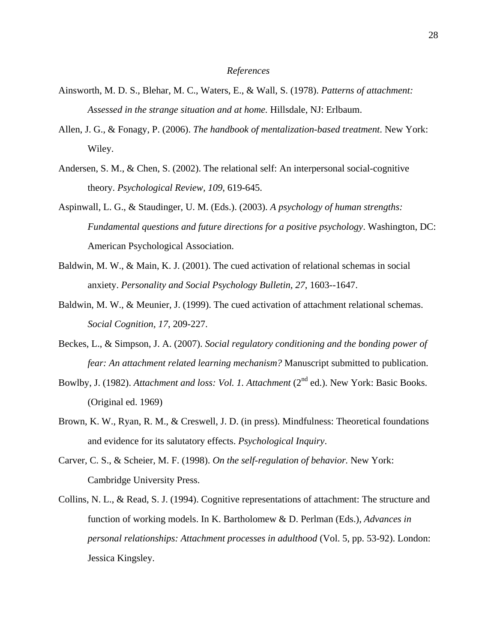### *References*

- Ainsworth, M. D. S., Blehar, M. C., Waters, E., & Wall, S. (1978). *Patterns of attachment: Assessed in the strange situation and at home.* Hillsdale, NJ: Erlbaum.
- Allen, J. G., & Fonagy, P. (2006). *The handbook of mentalization-based treatment*. New York: Wiley.
- Andersen, S. M., & Chen, S. (2002). The relational self: An interpersonal social-cognitive theory. *Psychological Review, 109*, 619-645.
- Aspinwall, L. G., & Staudinger, U. M. (Eds.). (2003). *A psychology of human strengths: Fundamental questions and future directions for a positive psychology*. Washington, DC: American Psychological Association.
- Baldwin, M. W., & Main, K. J. (2001). The cued activation of relational schemas in social anxiety. *Personality and Social Psychology Bulletin, 27*, 1603--1647.
- Baldwin, M. W., & Meunier, J. (1999). The cued activation of attachment relational schemas. *Social Cognition, 17*, 209-227.
- Beckes, L., & Simpson, J. A. (2007). *Social regulatory conditioning and the bonding power of fear: An attachment related learning mechanism?* Manuscript submitted to publication.
- Bowlby, J. (1982). *Attachment and loss: Vol. 1. Attachment* (2<sup>nd</sup> ed.). New York: Basic Books. (Original ed. 1969)
- Brown, K. W., Ryan, R. M., & Creswell, J. D. (in press). Mindfulness: Theoretical foundations and evidence for its salutatory effects. *Psychological Inquiry*.
- Carver, C. S., & Scheier, M. F. (1998). *On the self-regulation of behavior.* New York: Cambridge University Press.
- Collins, N. L., & Read, S. J. (1994). Cognitive representations of attachment: The structure and function of working models. In K. Bartholomew & D. Perlman (Eds.), *Advances in personal relationships: Attachment processes in adulthood* (Vol. 5, pp. 53-92). London: Jessica Kingsley.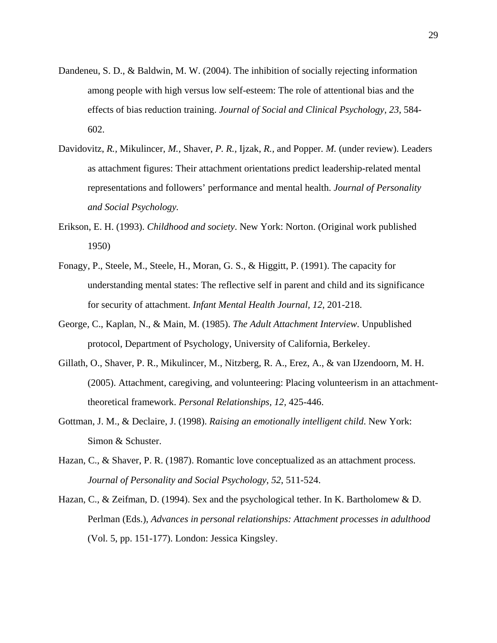- Dandeneu, S. D., & Baldwin, M. W. (2004). The inhibition of socially rejecting information among people with high versus low self-esteem: The role of attentional bias and the effects of bias reduction training. *Journal of Social and Clinical Psychology, 23*, 584- 602.
- Davidovitz, *R.,* Mikulincer, *M.,* Shaver, *P. R.,* Ijzak, *R.,* and Popper*. M.* (under review). Leaders as attachment figures: Their attachment orientations predict leadership-related mental representations and followers' performance and mental health. *Journal of Personality and Social Psychology.*
- Erikson, E. H. (1993). *Childhood and society*. New York: Norton. (Original work published 1950)
- Fonagy, P., Steele, M., Steele, H., Moran, G. S., & Higgitt, P. (1991). The capacity for understanding mental states: The reflective self in parent and child and its significance for security of attachment. *Infant Mental Health Journal, 12*, 201-218.
- George, C., Kaplan, N., & Main, M. (1985). *The Adult Attachment Interview*. Unpublished protocol, Department of Psychology, University of California, Berkeley.
- Gillath, O., Shaver, P. R., Mikulincer, M., Nitzberg, R. A., Erez, A., & van IJzendoorn, M. H. (2005). Attachment, caregiving, and volunteering: Placing volunteerism in an attachmenttheoretical framework. *Personal Relationships, 12,* 425-446.
- Gottman, J. M., & Declaire, J. (1998). *Raising an emotionally intelligent child*. New York: Simon & Schuster.
- Hazan, C., & Shaver, P. R. (1987). Romantic love conceptualized as an attachment process. *Journal of Personality and Social Psychology, 52*, 511-524.
- Hazan, C., & Zeifman, D. (1994). Sex and the psychological tether. In K. Bartholomew & D. Perlman (Eds.), *Advances in personal relationships: Attachment processes in adulthood* (Vol. 5, pp. 151-177). London: Jessica Kingsley.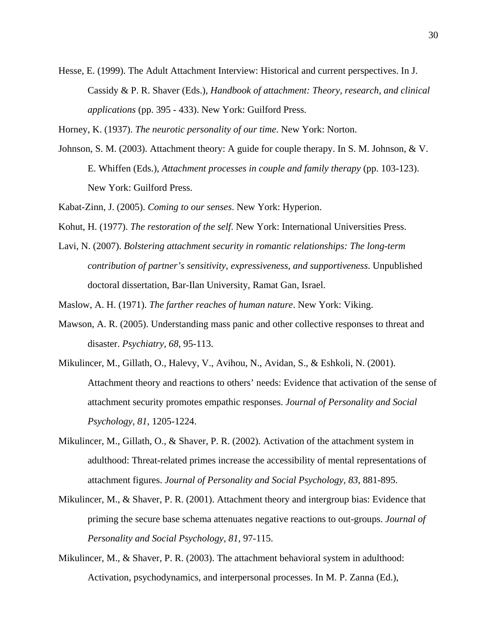Hesse, E. (1999). The Adult Attachment Interview: Historical and current perspectives. In J. Cassidy & P. R. Shaver (Eds.), *Handbook of attachment: Theory, research, and clinical applications* (pp. 395 - 433). New York: Guilford Press.

Horney, K. (1937). *The neurotic personality of our time*. New York: Norton.

- Johnson, S. M. (2003). Attachment theory: A guide for couple therapy. In S. M. Johnson, & V. E. Whiffen (Eds.), *Attachment processes in couple and family therapy* (pp. 103-123). New York: Guilford Press.
- Kabat-Zinn, J. (2005). *Coming to our senses*. New York: Hyperion.
- Kohut, H. (1977). *The restoration of the self*. New York: International Universities Press.
- Lavi, N. (2007). *Bolstering attachment security in romantic relationships: The long-term contribution of partner's sensitivity, expressiveness, and supportiveness*. Unpublished doctoral dissertation, Bar-Ilan University, Ramat Gan, Israel.
- Maslow, A. H. (1971). *The farther reaches of human nature*. New York: Viking.
- Mawson, A. R. (2005). Understanding mass panic and other collective responses to threat and disaster. *Psychiatry, 68*, 95-113.
- Mikulincer, M., Gillath, O., Halevy, V., Avihou, N., Avidan, S., & Eshkoli, N. (2001). Attachment theory and reactions to others' needs: Evidence that activation of the sense of attachment security promotes empathic responses. *Journal of Personality and Social Psychology, 81*, 1205-1224.
- Mikulincer, M., Gillath, O., & Shaver, P. R. (2002). Activation of the attachment system in adulthood: Threat-related primes increase the accessibility of mental representations of attachment figures. *Journal of Personality and Social Psychology, 83*, 881-895.
- Mikulincer, M., & Shaver, P. R. (2001). Attachment theory and intergroup bias: Evidence that priming the secure base schema attenuates negative reactions to out-groups. *Journal of Personality and Social Psychology, 81*, 97-115.
- Mikulincer, M., & Shaver, P. R. (2003). The attachment behavioral system in adulthood: Activation, psychodynamics, and interpersonal processes. In M. P. Zanna (Ed.),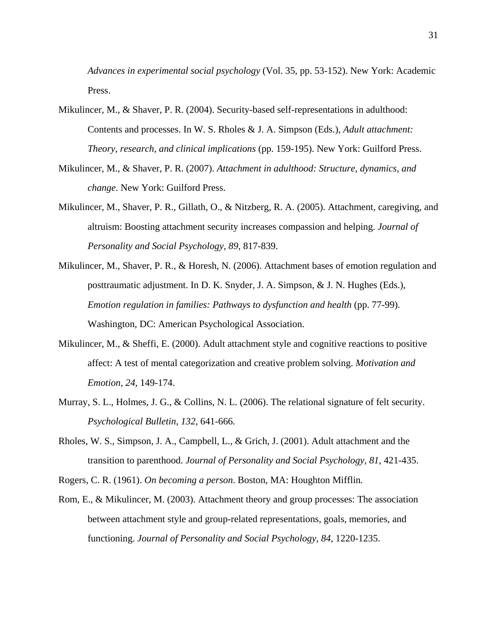*Advances in experimental social psychology* (Vol. 35, pp. 53-152). New York: Academic Press.

- Mikulincer, M., & Shaver, P. R. (2004). Security-based self-representations in adulthood: Contents and processes. In W. S. Rholes & J. A. Simpson (Eds.), *Adult attachment: Theory, research, and clinical implications* (pp. 159-195). New York: Guilford Press.
- Mikulincer, M., & Shaver, P. R. (2007). *Attachment in adulthood: Structure, dynamics, and change*. New York: Guilford Press.
- Mikulincer, M., Shaver, P. R., Gillath, O., & Nitzberg, R. A. (2005). Attachment, caregiving, and altruism: Boosting attachment security increases compassion and helping. *Journal of Personality and Social Psychology, 89,* 817-839.
- Mikulincer, M., Shaver, P. R., & Horesh, N. (2006). Attachment bases of emotion regulation and posttraumatic adjustment. In D. K. Snyder, J. A. Simpson, & J. N. Hughes (Eds.), *Emotion regulation in families: Pathways to dysfunction and health* (pp. 77-99)*.*  Washington, DC: American Psychological Association.
- Mikulincer, M., & Sheffi, E. (2000). Adult attachment style and cognitive reactions to positive affect: A test of mental categorization and creative problem solving. *Motivation and Emotion, 24*, 149-174.
- Murray, S. L., Holmes, J. G., & Collins, N. L. (2006). The relational signature of felt security. *Psychological Bulletin, 132*, 641-666*.*
- Rholes, W. S., Simpson, J. A., Campbell, L., & Grich, J. (2001). Adult attachment and the transition to parenthood. *Journal of Personality and Social Psychology, 81*, 421-435.
- Rogers, C. R. (1961). *On becoming a person*. Boston, MA: Houghton Mifflin*.*
- Rom, E., & Mikulincer, M. (2003). Attachment theory and group processes: The association between attachment style and group-related representations, goals, memories, and functioning. *Journal of Personality and Social Psychology, 84*, 1220-1235.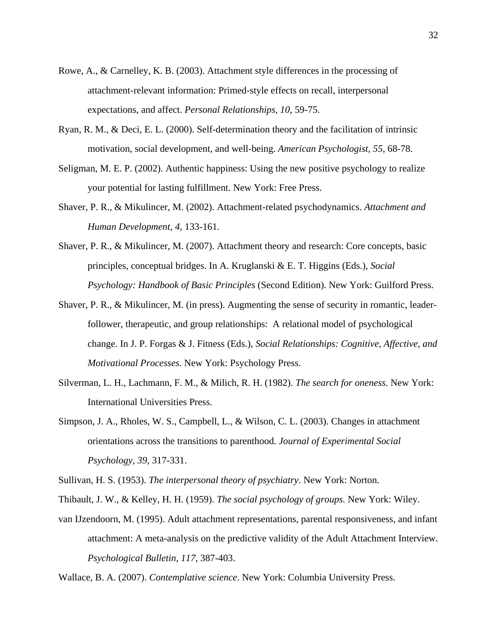- Rowe, A., & Carnelley, K. B. (2003). Attachment style differences in the processing of attachment-relevant information: Primed-style effects on recall, interpersonal expectations, and affect. *Personal Relationships, 10*, 59-75.
- Ryan, R. M., & Deci, E. L. (2000). Self-determination theory and the facilitation of intrinsic motivation, social development, and well-being. *American Psychologist, 55*, 68-78.
- Seligman, M. E. P. (2002). Authentic happiness: Using the new positive psychology to realize your potential for lasting fulfillment. New York: Free Press.
- Shaver, P. R., & Mikulincer, M. (2002). Attachment-related psychodynamics. *Attachment and Human Development, 4*, 133-161.
- Shaver, P. R., & Mikulincer, M. (2007). Attachment theory and research: Core concepts, basic principles, conceptual bridges. In A. Kruglanski & E. T. Higgins (Eds.), *Social Psychology: Handbook of Basic Principles* (Second Edition). New York: Guilford Press.
- Shaver, P. R., & Mikulincer, M. (in press). Augmenting the sense of security in romantic, leaderfollower, therapeutic, and group relationships: A relational model of psychological change. In J. P. Forgas & J. Fitness (Eds.), *Social Relationships: Cognitive, Affective, and Motivational Processes*. New York: Psychology Press.
- Silverman, L. H., Lachmann, F. M., & Milich, R. H. (1982). *The search for oneness*. New York: International Universities Press.
- Simpson, J. A., Rholes, W. S., Campbell, L., & Wilson, C. L. (2003). Changes in attachment orientations across the transitions to parenthood. *Journal of Experimental Social Psychology, 39*, 317-331.

Sullivan, H. S. (1953). *The interpersonal theory of psychiatry*. New York: Norton.

Thibault, J. W., & Kelley, H. H. (1959). *The social psychology of groups.* New York: Wiley.

van IJzendoorn, M. (1995). Adult attachment representations, parental responsiveness, and infant attachment: A meta-analysis on the predictive validity of the Adult Attachment Interview. *Psychological Bulletin, 117*, 387-403.

Wallace, B. A. (2007). *Contemplative science*. New York: Columbia University Press.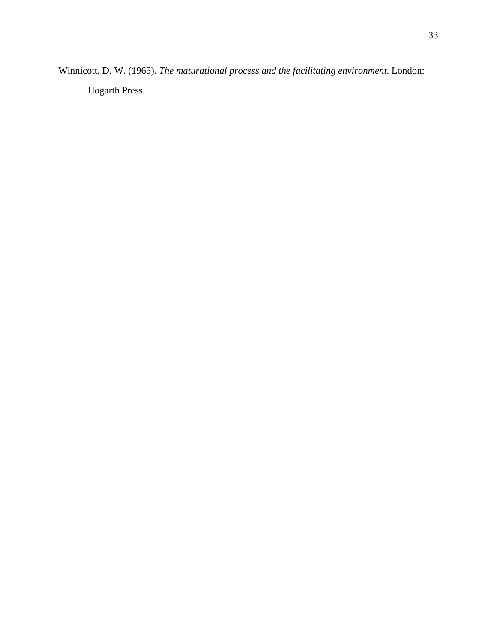Winnicott, D. W. (1965). *The maturational process and the facilitating environment*. London: Hogarth Press.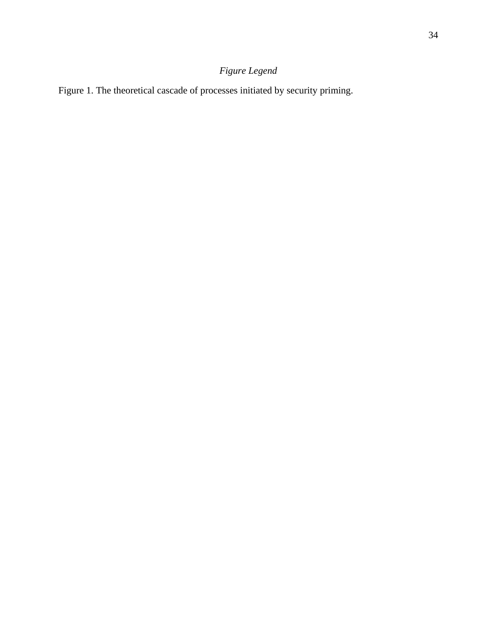# *Figure Legend*

Figure 1. The theoretical cascade of processes initiated by security priming.